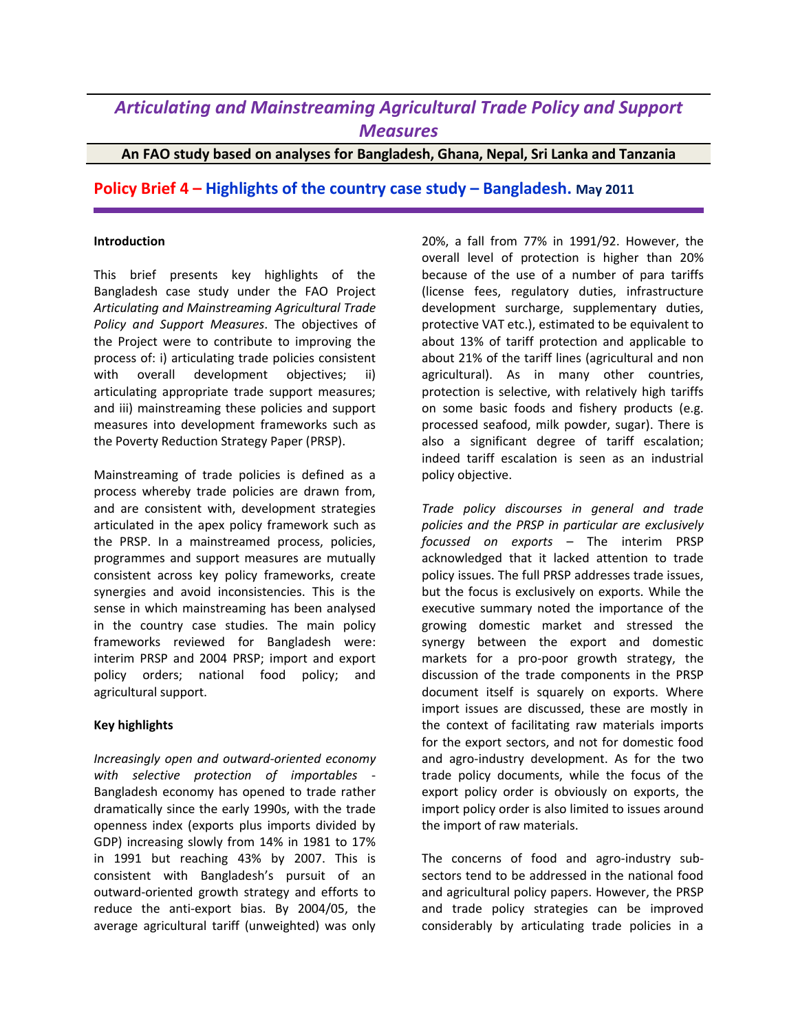## *Articulating and Mainstreaming Agricultural Trade Policy and Support Measures*

**An FAO study based on analyses for Bangladesh, Ghana, Nepal, Sri Lanka and Tanzania**

**Policy Brief 4 – Highlights of the country case study – Bangladesh. May 2011**

## **Introduction**

This brief presents key highlights of the Bangladesh case study under the FAO Project *Articulating and Mainstreaming Agricultural Trade Policy and Support Measures*. The objectives of the Project were to contribute to improving the process of: i) articulating trade policies consistent with overall development objectives; ii) articulating appropriate trade support measures; and iii) mainstreaming these policies and support measures into development frameworks such as the Poverty Reduction Strategy Paper (PRSP).

Mainstreaming of trade policies is defined as a process whereby trade policies are drawn from, and are consistent with, development strategies articulated in the apex policy framework such as the PRSP. In a mainstreamed process, policies, programmes and support measures are mutually consistent across key policy frameworks, create synergies and avoid inconsistencies. This is the sense in which mainstreaming has been analysed in the country case studies. The main policy frameworks reviewed for Bangladesh were: interim PRSP and 2004 PRSP; import and export policy orders; national food policy; and agricultural support.

## **Key highlights**

*Increasingly open and outward-oriented economy with selective protection of importables* - Bangladesh economy has opened to trade rather dramatically since the early 1990s, with the trade openness index (exports plus imports divided by GDP) increasing slowly from 14% in 1981 to 17% in 1991 but reaching 43% by 2007. This is consistent with Bangladesh's pursuit of an outward-oriented growth strategy and efforts to reduce the anti-export bias. By 2004/05, the average agricultural tariff (unweighted) was only

20%, a fall from 77% in 1991/92. However, the overall level of protection is higher than 20% because of the use of a number of para tariffs (license fees, regulatory duties, infrastructure development surcharge, supplementary duties, protective VAT etc.), estimated to be equivalent to about 13% of tariff protection and applicable to about 21% of the tariff lines (agricultural and non agricultural). As in many other countries, protection is selective, with relatively high tariffs on some basic foods and fishery products (e.g. processed seafood, milk powder, sugar). There is also a significant degree of tariff escalation; indeed tariff escalation is seen as an industrial policy objective.

*Trade policy discourses in general and trade policies and the PRSP in particular are exclusively focussed on exports* – The interim PRSP acknowledged that it lacked attention to trade policy issues. The full PRSP addresses trade issues, but the focus is exclusively on exports. While the executive summary noted the importance of the growing domestic market and stressed the synergy between the export and domestic markets for a pro-poor growth strategy, the discussion of the trade components in the PRSP document itself is squarely on exports. Where import issues are discussed, these are mostly in the context of facilitating raw materials imports for the export sectors, and not for domestic food and agro-industry development. As for the two trade policy documents, while the focus of the export policy order is obviously on exports, the import policy order is also limited to issues around the import of raw materials.

The concerns of food and agro-industry subsectors tend to be addressed in the national food and agricultural policy papers. However, the PRSP and trade policy strategies can be improved considerably by articulating trade policies in a